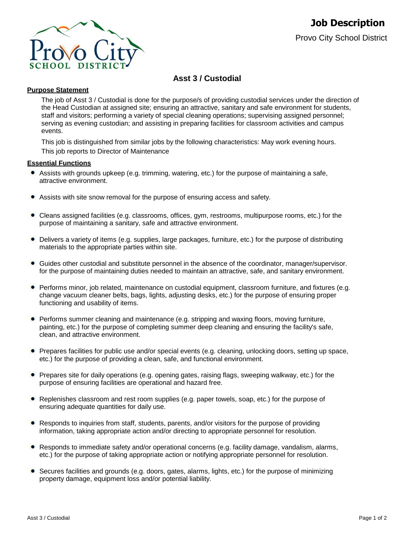

# **Asst 3 / Custodial**

# **Purpose Statement**

The job of Asst 3 / Custodial is done for the purpose/s of providing custodial services under the direction of the Head Custodian at assigned site; ensuring an attractive, sanitary and safe environment for students, staff and visitors; performing a variety of special cleaning operations; supervising assigned personnel; serving as evening custodian; and assisting in preparing facilities for classroom activities and campus events.

This job is distinguished from similar jobs by the following characteristics: May work evening hours. This job reports to Director of Maintenance

## **Essential Functions**

- Assists with grounds upkeep (e.g. trimming, watering, etc.) for the purpose of maintaining a safe, attractive environment.
- Assists with site snow removal for the purpose of ensuring access and safety.
- Cleans assigned facilities (e.g. classrooms, offices, gym, restrooms, multipurpose rooms, etc.) for the purpose of maintaining a sanitary, safe and attractive environment.
- ۰ Delivers a variety of items (e.g. supplies, large packages, furniture, etc.) for the purpose of distributing materials to the appropriate parties within site.
- ۰ Guides other custodial and substitute personnel in the absence of the coordinator, manager/supervisor. for the purpose of maintaining duties needed to maintain an attractive, safe, and sanitary environment.
- **Performs minor, job related, maintenance on custodial equipment, classroom furniture, and fixtures (e.g.** change vacuum cleaner belts, bags, lights, adjusting desks, etc.) for the purpose of ensuring proper functioning and usability of items.
- **Performs summer cleaning and maintenance (e.g. stripping and waxing floors, moving furniture,** painting, etc.) for the purpose of completing summer deep cleaning and ensuring the facility's safe, clean, and attractive environment.
- Prepares facilities for public use and/or special events (e.g. cleaning, unlocking doors, setting up space, etc.) for the purpose of providing a clean, safe, and functional environment.
- Prepares site for daily operations (e.g. opening gates, raising flags, sweeping walkway, etc.) for the purpose of ensuring facilities are operational and hazard free.
- Replenishes classroom and rest room supplies (e.g. paper towels, soap, etc.) for the purpose of ensuring adequate quantities for daily use.
- Responds to inquiries from staff, students, parents, and/or visitors for the purpose of providing information, taking appropriate action and/or directing to appropriate personnel for resolution.
- Responds to immediate safety and/or operational concerns (e.g. facility damage, vandalism, alarms, etc.) for the purpose of taking appropriate action or notifying appropriate personnel for resolution.
- $\bullet$ Secures facilities and grounds (e.g. doors, gates, alarms, lights, etc.) for the purpose of minimizing property damage, equipment loss and/or potential liability.